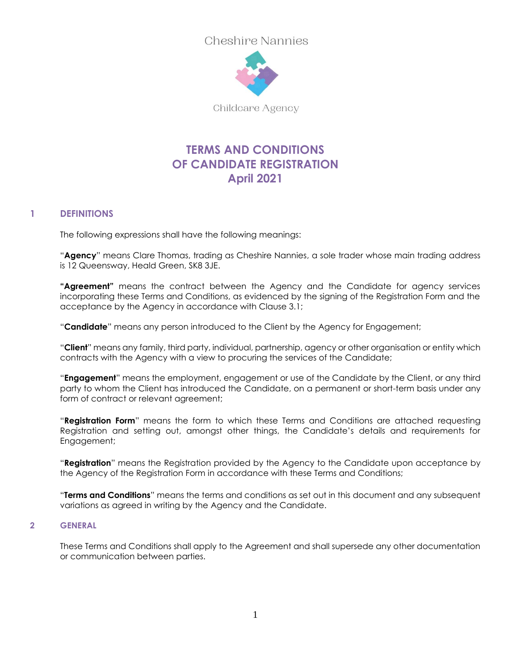Cheshire Nannies



Childcare Agency

# **TERMS AND CONDITIONS OF CANDIDATE REGISTRATION April 2021**

# **1 DEFINITIONS**

The following expressions shall have the following meanings:

"**Agency**" means Clare Thomas, trading as Cheshire Nannies, a sole trader whose main trading address is 12 Queensway, Heald Green, SK8 3JE.

**"Agreement"** means the contract between the Agency and the Candidate for agency services incorporating these Terms and Conditions, as evidenced by the signing of the Registration Form and the acceptance by the Agency in accordance with Clause 3.1;

"**Candidate**" means any person introduced to the Client by the Agency for Engagement;

"**Client**" means any family, third party, individual, partnership, agency or other organisation or entity which contracts with the Agency with a view to procuring the services of the Candidate;

"**Engagement**" means the employment, engagement or use of the Candidate by the Client, or any third party to whom the Client has introduced the Candidate, on a permanent or short-term basis under any form of contract or relevant agreement;

"**Registration Form**" means the form to which these Terms and Conditions are attached requesting Registration and setting out, amongst other things, the Candidate's details and requirements for Engagement;

"**Registration**" means the Registration provided by the Agency to the Candidate upon acceptance by the Agency of the Registration Form in accordance with these Terms and Conditions;

"**Terms and Conditions**" means the terms and conditions as set out in this document and any subsequent variations as agreed in writing by the Agency and the Candidate.

### **2 GENERAL**

These Terms and Conditions shall apply to the Agreement and shall supersede any other documentation or communication between parties.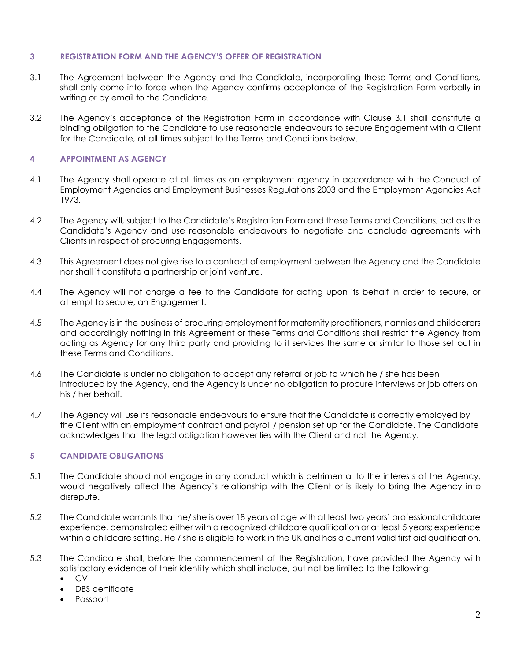#### **3 REGISTRATION FORM AND THE AGENCY'S OFFER OF REGISTRATION**

- 3.1 The Agreement between the Agency and the Candidate, incorporating these Terms and Conditions, shall only come into force when the Agency confirms acceptance of the Registration Form verbally in writing or by email to the Candidate.
- 3.2 The Agency's acceptance of the Registration Form in accordance with Clause 3.1 shall constitute a binding obligation to the Candidate to use reasonable endeavours to secure Engagement with a Client for the Candidate, at all times subject to the Terms and Conditions below.

## **4 APPOINTMENT AS AGENCY**

- 4.1 The Agency shall operate at all times as an employment agency in accordance with the Conduct of Employment Agencies and Employment Businesses Regulations 2003 and the Employment Agencies Act 1973.
- 4.2 The Agency will, subject to the Candidate's Registration Form and these Terms and Conditions, act as the Candidate's Agency and use reasonable endeavours to negotiate and conclude agreements with Clients in respect of procuring Engagements.
- 4.3 This Agreement does not give rise to a contract of employment between the Agency and the Candidate nor shall it constitute a partnership or joint venture.
- 4.4 The Agency will not charge a fee to the Candidate for acting upon its behalf in order to secure, or attempt to secure, an Engagement.
- 4.5 The Agency is in the business of procuring employment for maternity practitioners, nannies and childcarers and accordingly nothing in this Agreement or these Terms and Conditions shall restrict the Agency from acting as Agency for any third party and providing to it services the same or similar to those set out in these Terms and Conditions.
- 4.6 The Candidate is under no obligation to accept any referral or job to which he / she has been introduced by the Agency, and the Agency is under no obligation to procure interviews or job offers on his / her behalf.
- 4.7 The Agency will use its reasonable endeavours to ensure that the Candidate is correctly employed by the Client with an employment contract and payroll / pension set up for the Candidate. The Candidate acknowledges that the legal obligation however lies with the Client and not the Agency.

### **5 CANDIDATE OBLIGATIONS**

- 5.1 The Candidate should not engage in any conduct which is detrimental to the interests of the Agency, would negatively affect the Agency's relationship with the Client or is likely to bring the Agency into disrepute.
- 5.2 The Candidate warrants that he/ she is over 18 years of age with at least two years' professional childcare experience, demonstrated either with a recognized childcare qualification or at least 5 years; experience within a childcare setting. He / she is eligible to work in the UK and has a current valid first aid qualification.
- 5.3 The Candidate shall, before the commencement of the Registration, have provided the Agency with satisfactory evidence of their identity which shall include, but not be limited to the following:
	- CV
	- DBS certificate
	- Passport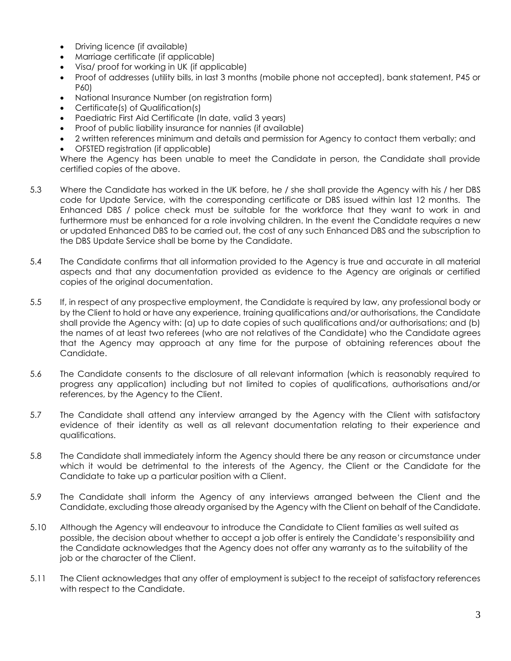- Driving licence (if available)
- Marriage certificate (if applicable)
- Visa/ proof for working in UK (if applicable)
- Proof of addresses (utility bills, in last 3 months (mobile phone not accepted), bank statement, P45 or P60)
- National Insurance Number (on registration form)
- Certificate(s) of Qualification(s)
- Paediatric First Aid Certificate (In date, valid 3 years)
- Proof of public liability insurance for nannies (if available)
- 2 written references minimum and details and permission for Agency to contact them verbally; and
- OFSTED registration (if applicable)

Where the Agency has been unable to meet the Candidate in person, the Candidate shall provide certified copies of the above.

- 5.3 Where the Candidate has worked in the UK before, he / she shall provide the Agency with his / her DBS code for Update Service, with the corresponding certificate or DBS issued within last 12 months. The Enhanced DBS / police check must be suitable for the workforce that they want to work in and furthermore must be enhanced for a role involving children. In the event the Candidate requires a new or updated Enhanced DBS to be carried out, the cost of any such Enhanced DBS and the subscription to the DBS Update Service shall be borne by the Candidate.
- 5.4 The Candidate confirms that all information provided to the Agency is true and accurate in all material aspects and that any documentation provided as evidence to the Agency are originals or certified copies of the original documentation.
- 5.5 If, in respect of any prospective employment, the Candidate is required by law, any professional body or by the Client to hold or have any experience, training qualifications and/or authorisations, the Candidate shall provide the Agency with: (a) up to date copies of such qualifications and/or authorisations; and (b) the names of at least two referees (who are not relatives of the Candidate) who the Candidate agrees that the Agency may approach at any time for the purpose of obtaining references about the Candidate.
- 5.6 The Candidate consents to the disclosure of all relevant information (which is reasonably required to progress any application) including but not limited to copies of qualifications, authorisations and/or references, by the Agency to the Client.
- 5.7 The Candidate shall attend any interview arranged by the Agency with the Client with satisfactory evidence of their identity as well as all relevant documentation relating to their experience and qualifications.
- 5.8 The Candidate shall immediately inform the Agency should there be any reason or circumstance under which it would be detrimental to the interests of the Agency, the Client or the Candidate for the Candidate to take up a particular position with a Client.
- 5.9 The Candidate shall inform the Agency of any interviews arranged between the Client and the Candidate, excluding those already organised by the Agency with the Client on behalf of the Candidate.
- 5.10 Although the Agency will endeavour to introduce the Candidate to Client families as well suited as possible, the decision about whether to accept a job offer is entirely the Candidate's responsibility and the Candidate acknowledges that the Agency does not offer any warranty as to the suitability of the job or the character of the Client.
- 5.11 The Client acknowledges that any offer of employment is subject to the receipt of satisfactory references with respect to the Candidate.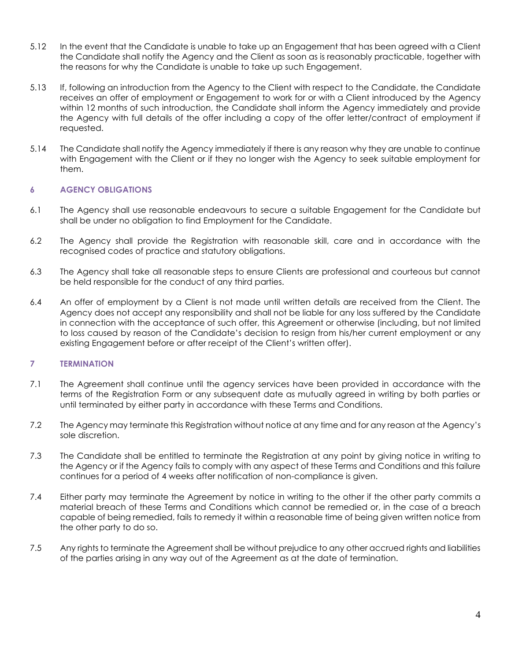- 5.12 In the event that the Candidate is unable to take up an Engagement that has been agreed with a Client the Candidate shall notify the Agency and the Client as soon as is reasonably practicable, together with the reasons for why the Candidate is unable to take up such Engagement.
- 5.13 If, following an introduction from the Agency to the Client with respect to the Candidate, the Candidate receives an offer of employment or Engagement to work for or with a Client introduced by the Agency within 12 months of such introduction, the Candidate shall inform the Agency immediately and provide the Agency with full details of the offer including a copy of the offer letter/contract of employment if requested.
- 5.14 The Candidate shall notify the Agency immediately if there is any reason why they are unable to continue with Engagement with the Client or if they no longer wish the Agency to seek suitable employment for them.

# **6 AGENCY OBLIGATIONS**

- 6.1 The Agency shall use reasonable endeavours to secure a suitable Engagement for the Candidate but shall be under no obligation to find Employment for the Candidate.
- 6.2 The Agency shall provide the Registration with reasonable skill, care and in accordance with the recognised codes of practice and statutory obligations.
- 6.3 The Agency shall take all reasonable steps to ensure Clients are professional and courteous but cannot be held responsible for the conduct of any third parties.
- 6.4 An offer of employment by a Client is not made until written details are received from the Client. The Agency does not accept any responsibility and shall not be liable for any loss suffered by the Candidate in connection with the acceptance of such offer, this Agreement or otherwise (including, but not limited to loss caused by reason of the Candidate's decision to resign from his/her current employment or any existing Engagement before or after receipt of the Client's written offer).

### **7 TERMINATION**

- 7.1 The Agreement shall continue until the agency services have been provided in accordance with the terms of the Registration Form or any subsequent date as mutually agreed in writing by both parties or until terminated by either party in accordance with these Terms and Conditions.
- 7.2 The Agency may terminate this Registration without notice at any time and for any reason at the Agency's sole discretion.
- 7.3 The Candidate shall be entitled to terminate the Registration at any point by giving notice in writing to the Agency or if the Agency fails to comply with any aspect of these Terms and Conditions and this failure continues for a period of 4 weeks after notification of non-compliance is given.
- 7.4 Either party may terminate the Agreement by notice in writing to the other if the other party commits a material breach of these Terms and Conditions which cannot be remedied or, in the case of a breach capable of being remedied, fails to remedy it within a reasonable time of being given written notice from the other party to do so.
- 7.5 Any rights to terminate the Agreement shall be without prejudice to any other accrued rights and liabilities of the parties arising in any way out of the Agreement as at the date of termination.